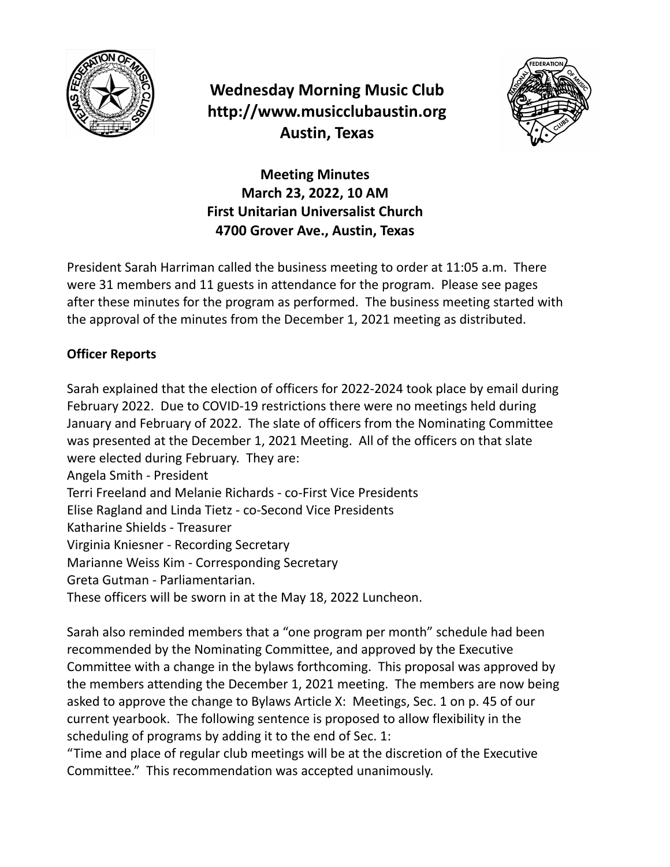

**Wednesday Morning Music Club http://www.musicclubaustin.org Austin, Texas**



**Meeting Minutes March 23, 2022, 10 AM First Unitarian Universalist Church 4700 Grover Ave., Austin, Texas**

President Sarah Harriman called the business meeting to order at 11:05 a.m. There were 31 members and 11 guests in attendance for the program. Please see pages after these minutes for the program as performed. The business meeting started with the approval of the minutes from the December 1, 2021 meeting as distributed.

# **Officer Reports**

Sarah explained that the election of officers for 2022-2024 took place by email during February 2022. Due to COVID-19 restrictions there were no meetings held during January and February of 2022. The slate of officers from the Nominating Committee was presented at the December 1, 2021 Meeting. All of the officers on that slate were elected during February. They are: Angela Smith - President Terri Freeland and Melanie Richards - co-First Vice Presidents Elise Ragland and Linda Tietz - co-Second Vice Presidents Katharine Shields - Treasurer Virginia Kniesner - Recording Secretary Marianne Weiss Kim - Corresponding Secretary Greta Gutman - Parliamentarian. These officers will be sworn in at the May 18, 2022 Luncheon.

Sarah also reminded members that a "one program per month" schedule had been recommended by the Nominating Committee, and approved by the Executive Committee with a change in the bylaws forthcoming. This proposal was approved by the members attending the December 1, 2021 meeting. The members are now being asked to approve the change to Bylaws Article X: Meetings, Sec. 1 on p. 45 of our current yearbook. The following sentence is proposed to allow flexibility in the scheduling of programs by adding it to the end of Sec. 1:

"Time and place of regular club meetings will be at the discretion of the Executive Committee." This recommendation was accepted unanimously.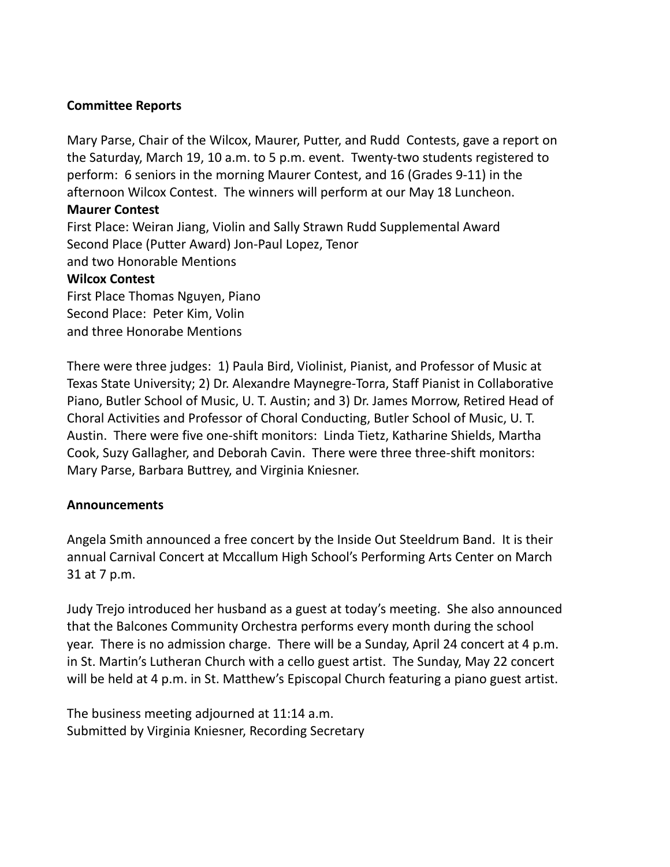### **Committee Reports**

Mary Parse, Chair of the Wilcox, Maurer, Putter, and Rudd Contests, gave a report on the Saturday, March 19, 10 a.m. to 5 p.m. event. Twenty-two students registered to perform: 6 seniors in the morning Maurer Contest, and 16 (Grades 9-11) in the afternoon Wilcox Contest. The winners will perform at our May 18 Luncheon.

#### **Maurer Contest**

First Place: Weiran Jiang, Violin and Sally Strawn Rudd Supplemental Award Second Place (Putter Award) Jon-Paul Lopez, Tenor and two Honorable Mentions

### **Wilcox Contest**

First Place Thomas Nguyen, Piano Second Place: Peter Kim, Volin and three Honorabe Mentions

There were three judges: 1) Paula Bird, Violinist, Pianist, and Professor of Music at Texas State University; 2) Dr. Alexandre Maynegre-Torra, Staff Pianist in Collaborative Piano, Butler School of Music, U. T. Austin; and 3) Dr. James Morrow, Retired Head of Choral Activities and Professor of Choral Conducting, Butler School of Music, U. T. Austin. There were five one-shift monitors: Linda Tietz, Katharine Shields, Martha Cook, Suzy Gallagher, and Deborah Cavin. There were three three-shift monitors: Mary Parse, Barbara Buttrey, and Virginia Kniesner.

## **Announcements**

Angela Smith announced a free concert by the Inside Out Steeldrum Band. It is their annual Carnival Concert at Mccallum High School's Performing Arts Center on March 31 at 7 p.m.

Judy Trejo introduced her husband as a guest at today's meeting. She also announced that the Balcones Community Orchestra performs every month during the school year. There is no admission charge. There will be a Sunday, April 24 concert at 4 p.m. in St. Martin's Lutheran Church with a cello guest artist. The Sunday, May 22 concert will be held at 4 p.m. in St. Matthew's Episcopal Church featuring a piano guest artist.

The business meeting adjourned at 11:14 a.m. Submitted by Virginia Kniesner, Recording Secretary